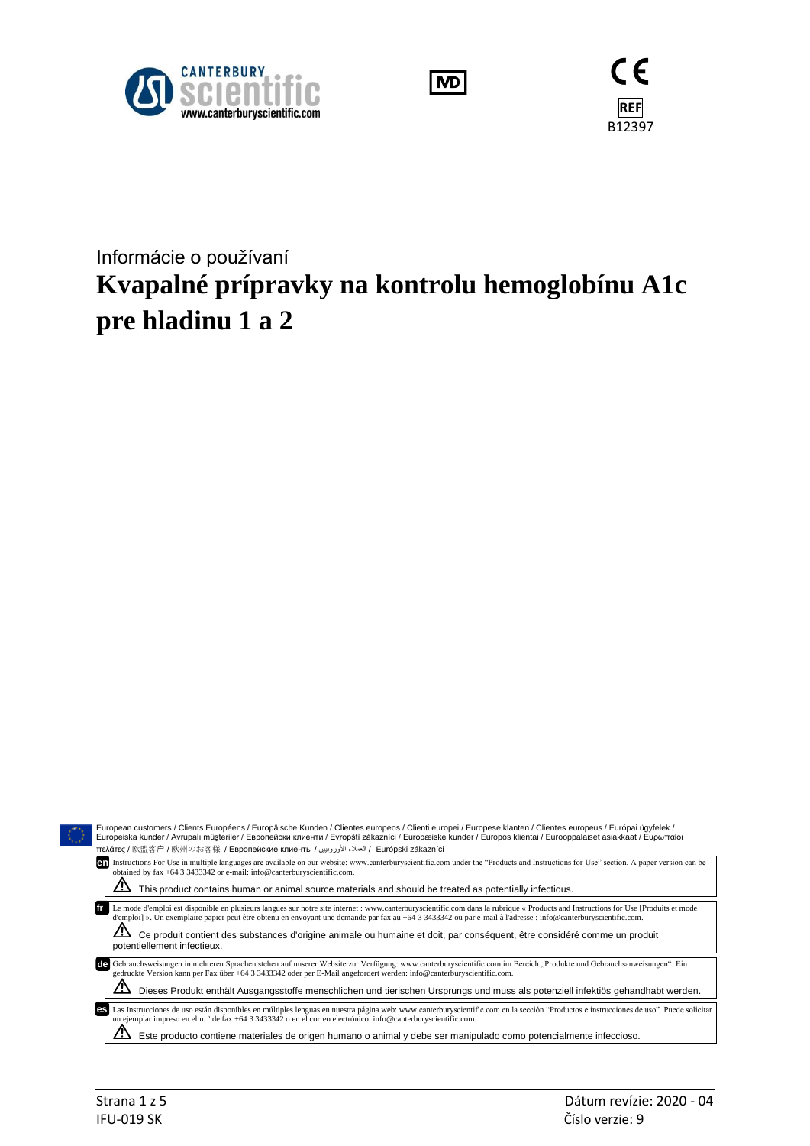





# Informácie o používaní **Kvapalné prípravky na kontrolu hemoglobínu A1c pre hladinu 1 a 2**

|                                                                                          | European customers / Clients Européens / Europäische Kunden / Clientes europeos / Clienti europei / Europese klanten / Clientes europeus / Európai ügyfelek /<br>Europeiska kunder / Avrupalı müsteriler / Европейски клиенти / Evropští zákazníci / Europæiske kunder / Europos klientai / Eurooppalaiset asiakkaat / Еυρωπαίοι                     |  |  |  |  |  |
|------------------------------------------------------------------------------------------|------------------------------------------------------------------------------------------------------------------------------------------------------------------------------------------------------------------------------------------------------------------------------------------------------------------------------------------------------|--|--|--|--|--|
| Trɛλάτες / 欧盟客户 / 欧州のお客様 / Европейские клиенты / العملاء الأوروبيين / Európski zákazníci |                                                                                                                                                                                                                                                                                                                                                      |  |  |  |  |  |
|                                                                                          | Instructions For Use in multiple languages are available on our website: www.canterburyscientific.com under the "Products and Instructions for Use" section. A paper version can be<br>en<br>obtained by fax +64 3 3433342 or e-mail: info@canterburyscientific.com.                                                                                 |  |  |  |  |  |
|                                                                                          | This product contains human or animal source materials and should be treated as potentially infectious.                                                                                                                                                                                                                                              |  |  |  |  |  |
|                                                                                          | Le mode d'emploi est disponible en plusieurs langues sur notre site internet : www.canterburyscientific.com dans la rubrique « Products and Instructions for Use [Produits et mode<br>d'emploi] ». Un exemplaire papier peut être obtenu en envoyant une demande par fax au +64 3 3433342 ou par e-mail à l'adresse : info@canterburyscientific.com. |  |  |  |  |  |
|                                                                                          | Ce produit contient des substances d'origine animale ou humaine et doit, par conséquent, être considéré comme un produit<br>potentiellement infectieux.                                                                                                                                                                                              |  |  |  |  |  |
|                                                                                          | Gebrauchsweisungen in mehreren Sprachen stehen auf unserer Website zur Verfügung: www.canterburyscientific.com im Bereich "Produkte und Gebrauchsanweisungen". Ein<br>gedruckte Version kann per Fax über +64 3 3433342 oder per E-Mail angefordert werden: info@canterburyscientific.com.                                                           |  |  |  |  |  |
|                                                                                          | Dieses Produkt enthält Ausgangsstoffe menschlichen und tierischen Ursprungs und muss als potenziell infektiös gehandhabt werden.                                                                                                                                                                                                                     |  |  |  |  |  |
|                                                                                          | Las Instrucciones de uso están disponibles en múltiples lenguas en nuestra página web: www.canterburyscientific.com en la sección "Productos e instrucciones de uso". Puede solicitar<br>es<br>un ejemplar impreso en el n. $\degree$ de fax +64 3 3433342 o en el correo electrónico: info@canterburyscientific.com.                                |  |  |  |  |  |
|                                                                                          | Este producto contiene materiales de origen humano o animal y debe ser manipulado como potencialmente infeccioso.                                                                                                                                                                                                                                    |  |  |  |  |  |
|                                                                                          |                                                                                                                                                                                                                                                                                                                                                      |  |  |  |  |  |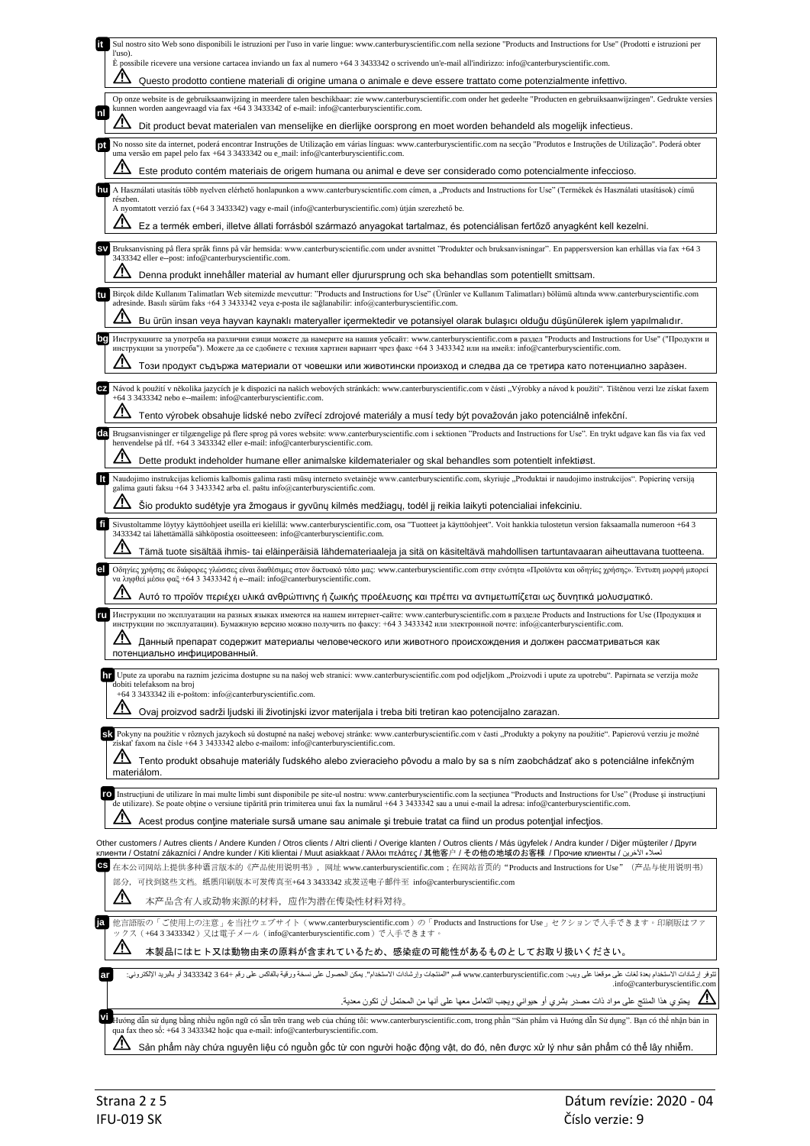|           | Sul nostro sito Web sono disponibili le istruzioni per l'uso in varie lingue: www.canterburyscientific.com nella sezione "Products and Instructions for Use" (Prodotti e istruzioni per<br>l'uso).                                                                                                                                                                            |
|-----------|-------------------------------------------------------------------------------------------------------------------------------------------------------------------------------------------------------------------------------------------------------------------------------------------------------------------------------------------------------------------------------|
|           | È possibile ricevere una versione cartacea inviando un fax al numero +64 3 3433342 o scrivendo un'e-mail all'indirizzo: info@canterburyscientific.com.                                                                                                                                                                                                                        |
|           | Questo prodotto contiene materiali di origine umana o animale e deve essere trattato come potenzialmente infettivo.                                                                                                                                                                                                                                                           |
| nl        | Op onze website is de gebruiksaanwijzing in meerdere talen beschikbaar: zie www.canterburyscientific.com onder het gedeelte "Producten en gebruiksaanwijzingen". Gedrukte versies<br>kunnen worden aangevraagd via fax +64 3 3433342 of e-mail: info@canterburyscientific.com.                                                                                                |
|           | Dit product bevat materialen van menselijke en dierlijke oorsprong en moet worden behandeld als mogelijk infectieus.<br>No nosso site da internet, poderá encontrar Instruções de Utilização em várias línguas: www.canterburyscientific.com na secção "Produtos e Instruções de Utilização". Poderá obter                                                                    |
|           | uma versão em papel pelo fax +64 3 3433342 ou e_mail: info@canterburyscientific.com.                                                                                                                                                                                                                                                                                          |
|           | Este produto contém materiais de origem humana ou animal e deve ser considerado como potencialmente infeccioso.<br>A Használati utasítás több nyelven elérhető honlapunkon a www.canterburyscientific.com címen, a "Products and Instructions for Use" (Termékek és Használati utasítások) című                                                                               |
|           | részben.<br>A nyomtatott verzió fax (+64 3 3433342) vagy e-mail (info@canterburyscientific.com) útján szerezhető be.                                                                                                                                                                                                                                                          |
|           | Ez a termék emberi, illetve állati forrásból származó anyagokat tartalmaz, és potenciálisan fertőző anyagként kell kezelni.                                                                                                                                                                                                                                                   |
| <b>SV</b> | Bruksanvisning på flera språk finns på vår hemsida: www.canterburyscientific.com under avsnittet "Produkter och bruksanvisningar". En pappersversion kan erhållas via fax +64 3<br>3433342 eller e--post: info@canterburyscientific.com.                                                                                                                                      |
|           | Denna produkt innehåller material av humant eller djurursprung och ska behandlas som potentiellt smittsam.                                                                                                                                                                                                                                                                    |
|           | Birçok dilde Kullanım Talimatları Web sitemizde mevcuttur: "Products and Instructions for Use" (Ürünler ve Kullanım Talimatları) bölümü altında www.canterburyscientific.com<br>adresinde. Basılı sürüm faks +64 3 3433342 veya e-posta ile sağlanabilir: info@canterburyscientific.com.                                                                                      |
|           | Bu ürün insan veya hayvan kaynaklı materyaller içermektedir ve potansiyel olarak bulaşıcı olduğu düşünülerek işlem yapılmalıdır.                                                                                                                                                                                                                                              |
|           | Инструкциите за употреба на различни езици можете да намерите на нашия уебсайт: www.canterburyscientific.com в раздел "Products and Instructions for Use" ("Продукти и<br>инструкции за употреба"). Можете да се сдобиете с техния хартиен вариант чрез факс +64 3 3433342 или на имейл: info@canterburyscientific.com.                                                       |
|           | Този продукт съдържа материали от човешки или животински произход и следва да се третира като потенциално зара̀зен.                                                                                                                                                                                                                                                           |
|           | Návod k použití v několika jazycích je k dispozici na našich webových stránkách: www.canterburyscientific.com v části "Výrobky a návod k použití". Tištěnou verzi lze získat faxem<br>+64 3 3433342 nebo e--mailem: info@canterburyscientific.com.                                                                                                                            |
|           | Tento výrobek obsahuje lidské nebo zvířecí zdrojové materiály a musí tedy být považován jako potenciálně infekční.                                                                                                                                                                                                                                                            |
| da        | Brugsanvisninger er tilgængelige på flere sprog på vores website: www.canterburyscientific.com i sektionen "Products and Instructions for Use". En trykt udgave kan fås via fax ved<br>henvendelse på tlf. +64 3 3433342 eller e-mail: info@canterburyscientific.com.                                                                                                         |
|           | Dette produkt indeholder humane eller animalske kildematerialer og skal behandles som potentielt infektiøst.                                                                                                                                                                                                                                                                  |
|           | Naudojimo instrukcijas keliomis kalbomis galima rasti mūsų interneto svetainėje www.canterburyscientific.com, skyriuje "Produktai ir naudojimo instrukcijos". Popierinę versiją<br>galima gauti faksu +64 3 3433342 arba el. paštu info@canterburyscientific.com.                                                                                                             |
|           | Šio produkto sudėtyje yra žmogaus ir gyvūnų kilmės medžiagų, todėl jį reikia laikyti potencialiai infekciniu.                                                                                                                                                                                                                                                                 |
| fi        | Sivustoltamme löytyy käyttöohjeet useilla eri kielillä: www.canterburyscientific.com, osa "Tuotteet ja käyttöohjeet". Voit hankkia tulostetun version faksaamalla numeroon +64 3<br>3433342 tai lähettämällä sähköpostia osoitteeseen: info@canterburyscientific.com.                                                                                                         |
|           | Tämä tuote sisältää ihmis- tai eläinperäisiä lähdemateriaaleja ja sitä on käsiteltävä mahdollisen tartuntavaaran aiheuttavana tuotteena.                                                                                                                                                                                                                                      |
|           | Οδηγίες χρήσης σε διάφορες γλώσσες είναι διαθέσιμες στον δικτυακό τόπο μας: www.canterburyscientific.com στην ενότητα «Προϊόντα και οδηγίες χρήσης». Έντυπη μορφή μπορεί<br>να ληφθεί μέσω φαξ +64 3 3433342 ή e--mail: info@canterburyscientific.com.<br>Αυτό το προϊόν περιέχει υλικά ανθρώπινης ή ζωικής προέλευσης και πρέπει να αντιμετωπίζεται ως δυνητικά μολυσματικό. |
|           | Инструкции по эксплуатации на разных языках имеются на нашем интернет-сайте: www.canterburyscientific.com в разделе Products and Instructions for Use (Продукция и                                                                                                                                                                                                            |
|           | инструкции по эксплуатации). Бумажную версию можно получить по факсу: +64 3 3433342 или электронной почте: info@canterburyscientific.com.                                                                                                                                                                                                                                     |
|           | ${\bf \Lambda}$ Данный препарат содержит материалы человеческого или животного происхождения и должен рассматриваться как<br>потенциально инфицированный.                                                                                                                                                                                                                     |
|           | 11 Upute za uporabu na raznim jezicima dostupne su na našoj web stranici: www.canterburyscientific.com pod odjeljkom "Proizvodi i upute za upotrebu". Papirnata se verzija može<br>dobiti telefaksom na broj                                                                                                                                                                  |
|           | +64 3 3433342 ili e-poštom: info@canterburyscientific.com.                                                                                                                                                                                                                                                                                                                    |
|           | Ovaj proizvod sadrži ljudski ili životinjski izvor materijala i treba biti tretiran kao potencijalno zarazan.                                                                                                                                                                                                                                                                 |
|           | SK Pokyny na použitie v rôznych jazykoch sú dostupné na našej webovej stránke: www.canterburyscientific.com v časti "Produkty a pokyny na použitie". Papierovú verziu je možné<br>získať faxom na čísle +64 3 3433342 alebo e-mailom: info@canterburyscientific.com.                                                                                                          |
|           | Tento produkt obsahuje materiály ľudského alebo zvieracieho pôvodu a malo by sa s ním zaobchádzať ako s potenciálne infekčným<br>materiálom.                                                                                                                                                                                                                                  |
|           | TO Instructiuni de utilizare în mai multe limbi sunt disponibile pe site-ul nostru: www.canterburyscientific.com la secțiunea "Products and Instructions for Use" (Produse și instrucțiuni                                                                                                                                                                                    |
|           | de utilizare). Se poate obține o versiune tipărită prin trimiterea unui fax la numărul +64 3 3433342 sau a unui e-mail la adresa: info@canterburyscientific.com.<br><u>/!\</u><br>Acest produs contine materiale sursă umane sau animale și trebuie tratat ca fiind un produs potențial infecțios.                                                                            |
|           |                                                                                                                                                                                                                                                                                                                                                                               |
|           | Other customers / Autres clients / Andere Kunden / Otros clients / Altri clienti / Overige klanten / Outros clients / Más ügyfelek / Andra kunder / Diğer müşteriler / Други<br>клиенти / Ostatní zákazníci / Andre kunder / Kiti klientai / Muut asiakkaat / Άλλοι πελάτες / 其他客户 / その他の地域のお客様 / Прочие клиенты / لمدلاء الأخرين /                                           |
| сs        | 在本公司网站上提供多种语言版本的《产品使用说明书》,网址 www.canterburyscientific.com;在网站首页的"Products and Instructions for Use"(产品与使用说明书)<br>部分,可找到这些文档。纸质印刷版本可发传真至+64 3 3433342 或发送电子邮件至 info@canterburyscientific.com                                                                                                                                                                                   |
|           | 本产品含有人或动物来源的材料, 应作为潜在传染性材料对待。                                                                                                                                                                                                                                                                                                                                                 |
| ja        | 他言語版の「ご使用上の注意」を当社ウェブサイト (www.canterburyscientific.com)の「Products and Instructions for Use」セクションで入手できます。印刷版はファ<br>ックス(+64 3 3433342)又は電子メール(info@canterburyscientific.com)で入手できます。                                                                                                                                                                                             |
|           | <u>/\</u><br>本製品にはヒト又は動物由来の原料が含まれているため、感染症の可能性があるものとしてお取り扱いください。                                                                                                                                                                                                                                                                                                              |
|           | تتوفر إرشادات الاستخدام بعدة لغات على موقعنا على ويب: www.canterburyscientific.com قسم "العنتجات وإرشادات الاستخدام". يمكن الحصول على نسخة ورقية بالفاكس على رقم +64 343342 أو بالبريد الإلكتروني:<br>.info@canterburyscientific.com                                                                                                                                          |
|           |                                                                                                                                                                                                                                                                                                                                                                               |
| vi        | Hướng dẫn sử dụng bằng nhiều ngôn ngữ có sẵn trên trang web của chúng tôi: www.canterburyscientific.com, trong phần "Sản phẩm và Hướng dẫn Sử dụng". Bạn có thể nhận bản in                                                                                                                                                                                                   |
|           | qua fax theo sô: +64 3 3433342 hoặc qua e-mail: info@canterburyscientific.com.                                                                                                                                                                                                                                                                                                |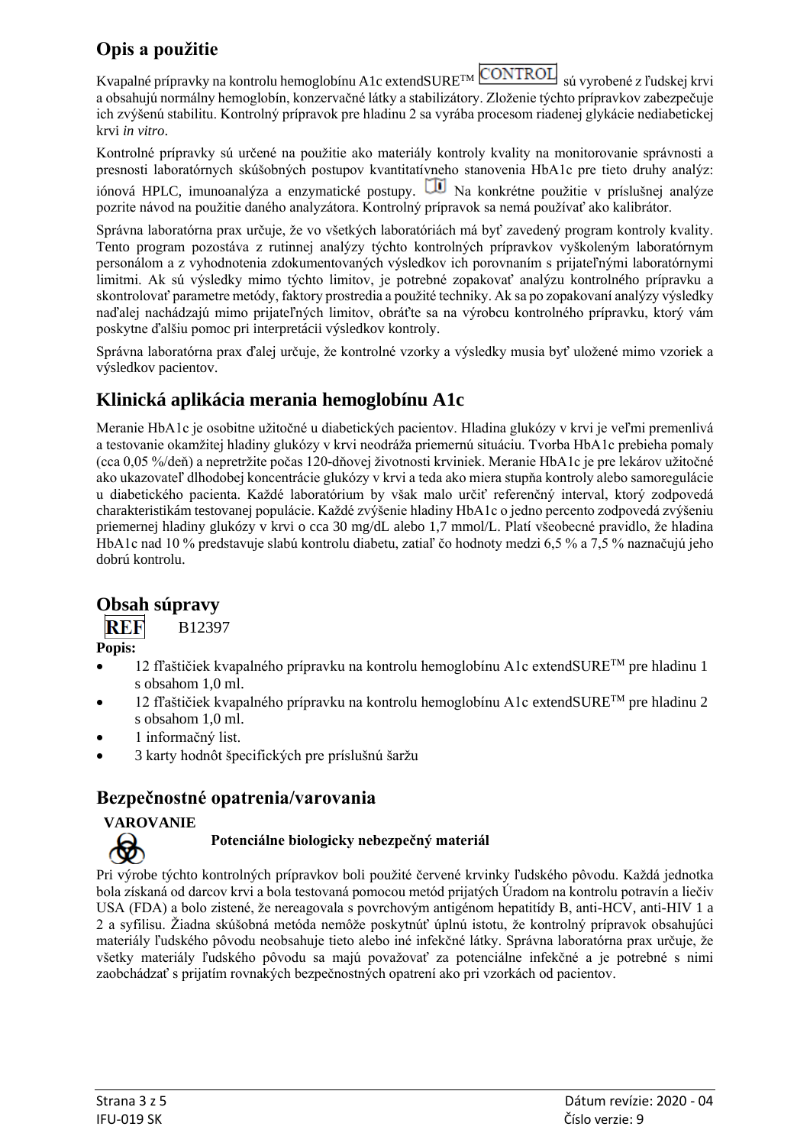# **Opis a použitie**

Kvapalné prípravky na kontrolu hemoglobínu A1c extendSURE<sup>TM</sup> CONTROL sú vyrobené z ľudskej krvi a obsahujú normálny hemoglobín, konzervačné látky a stabilizátory. Zloženie týchto prípravkov zabezpečuje ich zvýšenú stabilitu. Kontrolný prípravok pre hladinu 2 sa vyrába procesom riadenej glykácie nediabetickej krvi *in vitro*.

Kontrolné prípravky sú určené na použitie ako materiály kontroly kvality na monitorovanie správnosti a presnosti laboratórnych skúšobných postupov kvantitatívneho stanovenia HbA1c pre tieto druhy analýz: iónová HPLC, imunoanalýza a enzymatické postupy.  $\Box$  Na konkrétne použitie v príslušnej analýze

pozrite návod na použitie daného analyzátora. Kontrolný prípravok sa nemá používať ako kalibrátor.

Správna laboratórna prax určuje, že vo všetkých laboratóriách má byť zavedený program kontroly kvality. Tento program pozostáva z rutinnej analýzy týchto kontrolných prípravkov vyškoleným laboratórnym personálom a z vyhodnotenia zdokumentovaných výsledkov ich porovnaním s prijateľnými laboratórnymi limitmi. Ak sú výsledky mimo týchto limitov, je potrebné zopakovať analýzu kontrolného prípravku a skontrolovať parametre metódy, faktory prostredia a použité techniky. Ak sa po zopakovaní analýzy výsledky naďalej nachádzajú mimo prijateľných limitov, obráťte sa na výrobcu kontrolného prípravku, ktorý vám poskytne ďalšiu pomoc pri interpretácii výsledkov kontroly.

Správna laboratórna prax ďalej určuje, že kontrolné vzorky a výsledky musia byť uložené mimo vzoriek a výsledkov pacientov.

# **Klinická aplikácia merania hemoglobínu A1c**

Meranie HbA1c je osobitne užitočné u diabetických pacientov. Hladina glukózy v krvi je veľmi premenlivá a testovanie okamžitej hladiny glukózy v krvi neodráža priemernú situáciu. Tvorba HbA1c prebieha pomaly (cca 0,05 %/deň) a nepretržite počas 120-dňovej životnosti krviniek. Meranie HbA1c je pre lekárov užitočné ako ukazovateľ dlhodobej koncentrácie glukózy v krvi a teda ako miera stupňa kontroly alebo samoregulácie u diabetického pacienta. Každé laboratórium by však malo určiť referenčný interval, ktorý zodpovedá charakteristikám testovanej populácie. Každé zvýšenie hladiny HbA1c o jedno percento zodpovedá zvýšeniu priemernej hladiny glukózy v krvi o cca 30 mg/dL alebo 1,7 mmol/L. Platí všeobecné pravidlo, že hladina HbA1c nad 10 % predstavuje slabú kontrolu diabetu, zatiaľ čo hodnoty medzi 6,5 % a 7,5 % naznačujú jeho dobrú kontrolu.

# **Obsah súpravy**

REF B12397

**Popis:**

- $12$  fľaštičiek kvapalného prípravku na kontrolu hemoglobínu A1c extendSURE<sup>TM</sup> pre hladinu 1 s obsahom 1,0 ml.
- $12$  fľaštičiek kvapalného prípravku na kontrolu hemoglobínu A1c extendSURE<sup>TM</sup> pre hladinu 2 s obsahom 1,0 ml.
- 1 informačný list.
- 3 karty hodnôt špecifických pre príslušnú šaržu

# **Bezpečnostné opatrenia/varovania**

#### **VAROVANIE**

#### **Potenciálne biologicky nebezpečný materiál**

Pri výrobe týchto kontrolných prípravkov boli použité červené krvinky ľudského pôvodu. Každá jednotka bola získaná od darcov krvi a bola testovaná pomocou metód prijatých Úradom na kontrolu potravín a liečiv USA (FDA) a bolo zistené, že nereagovala s povrchovým antigénom hepatitídy B, anti-HCV, anti-HIV 1 a 2 a syfilisu. Žiadna skúšobná metóda nemôže poskytnúť úplnú istotu, že kontrolný prípravok obsahujúci materiály ľudského pôvodu neobsahuje tieto alebo iné infekčné látky. Správna laboratórna prax určuje, že všetky materiály ľudského pôvodu sa majú považovať za potenciálne infekčné a je potrebné s nimi zaobchádzať s prijatím rovnakých bezpečnostných opatrení ako pri vzorkách od pacientov.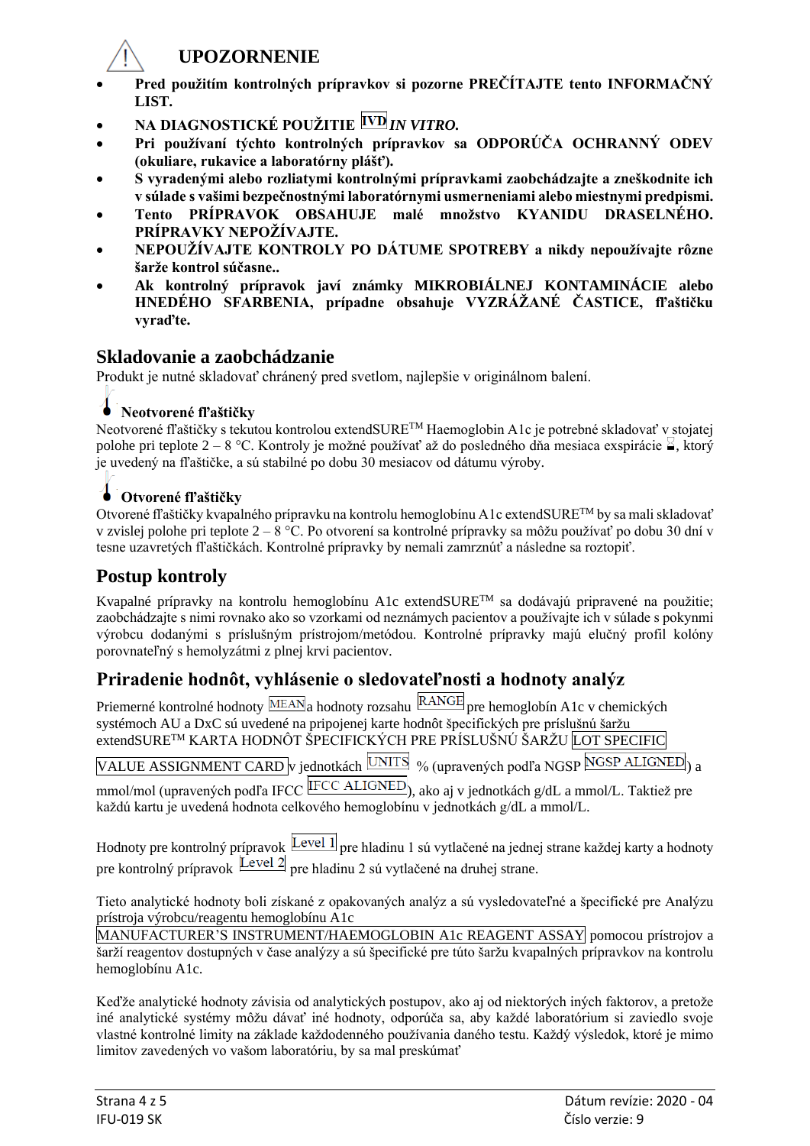

#### **UPOZORNENIE**

- **Pred použitím kontrolných prípravkov si pozorne PREČÍTAJTE tento INFORMAČNÝ LIST.**
- **NA DIAGNOSTICKÉ POUŽITIE** *IN VITRO.*
- **Pri používaní týchto kontrolných prípravkov sa ODPORÚČA OCHRANNÝ ODEV (okuliare, rukavice a laboratórny plášť).**
- **S vyradenými alebo rozliatymi kontrolnými prípravkami zaobchádzajte a zneškodnite ich v súlade s vašimi bezpečnostnými laboratórnymi usmerneniami alebo miestnymi predpismi.**
- **Tento PRÍPRAVOK OBSAHUJE malé množstvo KYANIDU DRASELNÉHO. PRÍPRAVKY NEPOŽÍVAJTE.**
- **NEPOUŽÍVAJTE KONTROLY PO DÁTUME SPOTREBY a nikdy nepoužívajte rôzne šarže kontrol súčasne..**
- **Ak kontrolný prípravok javí známky MIKROBIÁLNEJ KONTAMINÁCIE alebo HNEDÉHO SFARBENIA, prípadne obsahuje VYZRÁŽANÉ ČASTICE, fľaštičku vyraďte.**

#### **Skladovanie a zaobchádzanie**

Produkt je nutné skladovať chránený pred svetlom, najlepšie v originálnom balení.

#### **Neotvorené fľaštičky**

Neotvorené fľaštičky s tekutou kontrolou extendSURETM Haemoglobin A1c je potrebné skladovať v stojatej polohe pri teplote 2 – 8 °C. Kontroly je možné používať až do posledného dňa mesiaca exspirácie  $\leq$ , ktorý je uvedený na fľaštičke, a sú stabilné po dobu 30 mesiacov od dátumu výroby.

# **Otvorené fľaštičky**

Otvorené fľaštičky kvapalného prípravku na kontrolu hemoglobínu A1c extendSURETM by sa mali skladovať v zvislej polohe pri teplote  $2 - 8$  °C. Po otvorení sa kontrolné prípravky sa môžu používať po dobu 30 dní v tesne uzavretých fľaštičkách. Kontrolné prípravky by nemali zamrznúť a následne sa roztopiť.

# **Postup kontroly**

Kvapalné prípravky na kontrolu hemoglobínu A1c extendSURETM sa dodávajú pripravené na použitie; zaobchádzajte s nimi rovnako ako so vzorkami od neznámych pacientov a používajte ich v súlade s pokynmi výrobcu dodanými s príslušným prístrojom/metódou. Kontrolné prípravky majú elučný profil kolóny porovnateľný s hemolyzátmi z plnej krvi pacientov.

# **Priradenie hodnôt, vyhlásenie o sledovateľnosti a hodnoty analýz**

Priemerné kontrolné hodnoty MEAN<sub>a</sub> hodnoty rozsahu RANGE pre hemoglobín A1c v chemických systémoch AU a DxC sú uvedené na pripojenej karte hodnôt špecifických pre príslušnú šaržu extendSURETM KARTA HODNÔT ŠPECIFICKÝCH PRE PRÍSLUŠNÚ ŠARŽU LOT SPECIFIC

VALUE ASSIGNMENT CARD v jednotkách UNITS % (upravených podľa NGSP NGSP ALIGNED) a

mmol/mol (upravených podľa IFCC ALIGNED), ako aj v jednotkách g/dL a mmol/L. Taktiež pre každú kartu je uvedená hodnota celkového hemoglobínu v jednotkách g/dL a mmol/L.

Hodnoty pre kontrolný prípravok **Level 1** pre hladinu 1 sú vytlačené na jednej strane každej karty a hodnoty pre kontrolný prípravok  $\boxed{\text{Level 2}}$  pre hladinu 2 sú vytlačené na druhej strane.

Tieto analytické hodnoty boli získané z opakovaných analýz a sú vysledovateľné a špecifické pre Analýzu prístroja výrobcu/reagentu hemoglobínu A1c

MANUFACTURER'S INSTRUMENT/HAEMOGLOBIN A1c REAGENT ASSAY pomocou prístrojov a šarží reagentov dostupných v čase analýzy a sú špecifické pre túto šaržu kvapalných prípravkov na kontrolu hemoglobínu A1c.

Keďže analytické hodnoty závisia od analytických postupov, ako aj od niektorých iných faktorov, a pretože iné analytické systémy môžu dávať iné hodnoty, odporúča sa, aby každé laboratórium si zaviedlo svoje vlastné kontrolné limity na základe každodenného používania daného testu. Každý výsledok, ktoré je mimo limitov zavedených vo vašom laboratóriu, by sa mal preskúmať